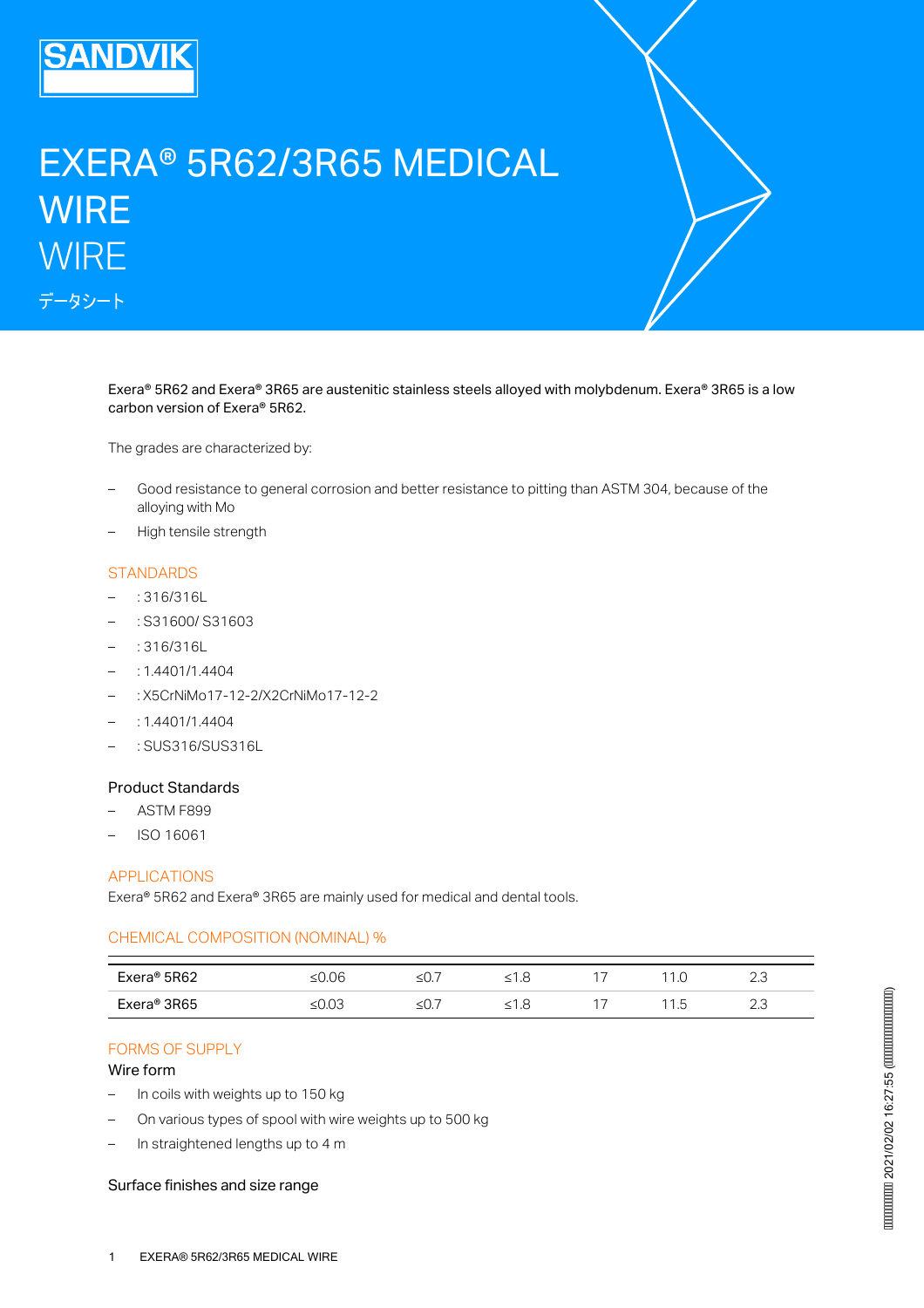

# EXERA® 5R62/3R65 MEDICAL **WIRE WIRE** データシート

Exera® 5R62 and Exera® 3R65 are austenitic stainless steels alloyed with molybdenum. Exera® 3R65 is a low carbon version of Exera® 5R62.

The grades are characterized by:

- Good resistance to general corrosion and better resistance to pitting than ASTM 304, because of the alloying with Mo –
- High tensile strength

#### **STANDARDS**

- : 316/316L
- : S31600/ S31603
- : 316/316L
- : 1.4401/1.4404
- : X5CrNiMo17-12-2/X2CrNiMo17-12-2
- $-$  : 1.4401/1.4404
- : SUS316/SUS316L

#### Product Standards

- ASTM F899
- ISO 16061

## APPLICATIONS

Exera® 5R62 and Exera® 3R65 are mainly used for medical and dental tools.

#### CHEMICAL COMPOSITION (NOMINAL) %

| Exera@5R62              | 06              | –∽ | τ.<br>$\sim$<br>- | $\sim$        | . .<br>$\sim$ | ں.ے<br>$\sim$ |
|-------------------------|-----------------|----|-------------------|---------------|---------------|---------------|
| Exera <sup>®</sup> 3R65 | $\sim$<br>≥∪.∪⊂ | –∽ | ے. ا<br>-         | $\rightarrow$ | ∽<br>ں ،      | ں ،ے          |

## FORMS OF SUPPLY

#### Wire form

- In coils with weights up to 150 kg
- On various types of spool with wire weights up to 500 kg
- In straightened lengths up to 4 m

#### Surface finishes and size range